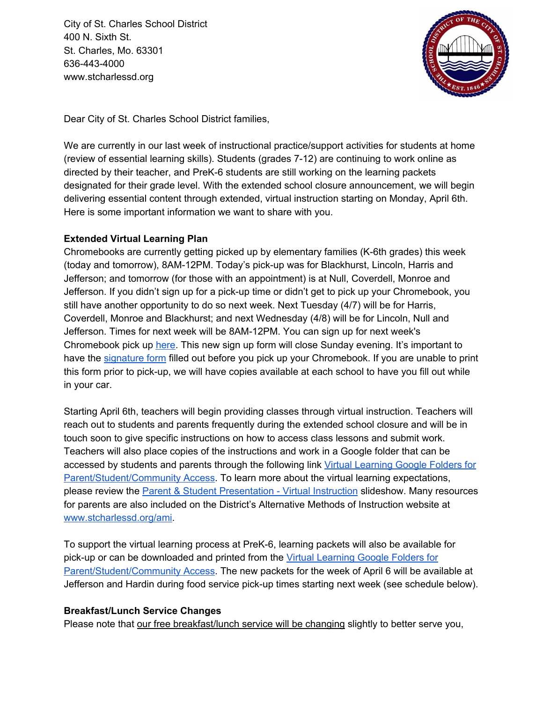City of St. Charles School District 400 N. Sixth St. St. Charles, Mo. 63301 636-443-4000 www.stcharlessd.org



Dear City of St. Charles School District families,

We are currently in our last week of instructional practice/support activities for students at home (review of essential learning skills). Students (grades 7-12) are continuing to work online as directed by their teacher, and PreK-6 students are still working on the learning packets designated for their grade level. With the extended school closure announcement, we will begin delivering essential content through extended, virtual instruction starting on Monday, April 6th. Here is some important information we want to share with you.

## **Extended Virtual Learning Plan**

Chromebooks are currently getting picked up by elementary families (K-6th grades) this week (today and tomorrow), 8AM-12PM. Today's pick-up was for Blackhurst, Lincoln, Harris and Jefferson; and tomorrow (for those with an appointment) is at Null, Coverdell, Monroe and Jefferson. If you didn't sign up for a pick-up time or didn't get to pick up your Chromebook, you still have another opportunity to do so next week. Next Tuesday (4/7) will be for Harris, Coverdell, Monroe and Blackhurst; and next Wednesday (4/8) will be for Lincoln, Null and Jefferson. Times for next week will be 8AM-12PM. You can sign up for next week's Chromebook pick up [here.](https://docs.google.com/document/d/1v45MWjXwos4iJo5iTY4FFJPMC_GwLQNN2ot2imBzcgI/edit) This new sign up form will close Sunday evening. It's important to have the [signature](https://docs.google.com/document/d/1KOLueQlTQteSptPm7BNdR9rI4uSefdgP86s7mNMfqBU/edit?usp=sharing) form filled out before you pick up your Chromebook. If you are unable to print this form prior to pick-up, we will have copies available at each school to have you fill out while in your car.

Starting April 6th, teachers will begin providing classes through virtual instruction. Teachers will reach out to students and parents frequently during the extended school closure and will be in touch soon to give specific instructions on how to access class lessons and submit work. Teachers will also place copies of the instructions and work in a Google folder that can be accessed by students and parents through the following link Virtual [Learning](https://drive.google.com/drive/folders/1blB03mxazoNH46qYVH-eorRyE9Wna00H) Google Folders for [Parent/Student/Community](https://drive.google.com/drive/folders/1blB03mxazoNH46qYVH-eorRyE9Wna00H) Access</u>. To learn more about the virtual learning expectations, please review the **Parent & Student [Presentation](https://docs.google.com/presentation/d/1sn7SOiU9o1zNZ8Si7Ddt7gr4oVykZeXVrs5tTPPwYS4/edit#slide=id.g828a10f8e4_0_136) - Virtual Instruction** slideshow. Many resources for parents are also included on the District's Alternative Methods of Instruction website at [www.stcharlessd.org/ami](http://www.stcharlessd.org/ami).

To support the virtual learning process at PreK-6, learning packets will also be available for pick-up or can be downloaded and printed from the Virtual [Learning](https://drive.google.com/drive/folders/1blB03mxazoNH46qYVH-eorRyE9Wna00H) Google Folders for [Parent/Student/Community](https://drive.google.com/drive/folders/1blB03mxazoNH46qYVH-eorRyE9Wna00H) Access. The new packets for the week of April 6 will be available at Jefferson and Hardin during food service pick-up times starting next week (see schedule below).

## **Breakfast/Lunch Service Changes**

Please note that our free breakfast/lunch service will be changing slightly to better serve you,